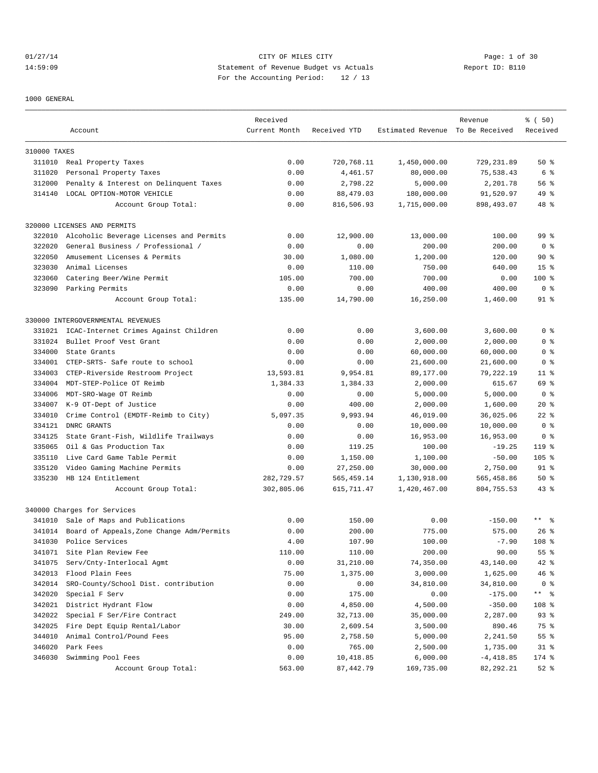# 01/27/14 Page: 1 of 30 14:59:09 Statement of Revenue Budget vs Actuals Report ID: B110 For the Accounting Period: 12 / 13

1000 GENERAL

|              |                                           | Received      |              |                                  | Revenue     | % (50)           |
|--------------|-------------------------------------------|---------------|--------------|----------------------------------|-------------|------------------|
|              | Account                                   | Current Month | Received YTD | Estimated Revenue To Be Received |             | Received         |
| 310000 TAXES |                                           |               |              |                                  |             |                  |
| 311010       | Real Property Taxes                       | 0.00          | 720,768.11   | 1,450,000.00                     | 729,231.89  | 50%              |
| 311020       | Personal Property Taxes                   | 0.00          | 4,461.57     | 80,000.00                        | 75,538.43   | 6 %              |
| 312000       | Penalty & Interest on Delinquent Taxes    | 0.00          | 2,798.22     | 5,000.00                         | 2,201.78    | 56 %             |
| 314140       | LOCAL OPTION-MOTOR VEHICLE                | 0.00          | 88,479.03    | 180,000.00                       | 91,520.97   | 49 %             |
|              | Account Group Total:                      | 0.00          | 816,506.93   | 1,715,000.00                     | 898,493.07  | $48*$            |
|              | 320000 LICENSES AND PERMITS               |               |              |                                  |             |                  |
| 322010       | Alcoholic Beverage Licenses and Permits   | 0.00          | 12,900.00    | 13,000.00                        | 100.00      | 99 <sub>8</sub>  |
| 322020       | General Business / Professional /         | 0.00          | 0.00         | 200.00                           | 200.00      | 0 <sub>8</sub>   |
| 322050       | Amusement Licenses & Permits              | 30.00         | 1,080.00     | 1,200.00                         | 120.00      | 90%              |
| 323030       | Animal Licenses                           | 0.00          | 110.00       | 750.00                           | 640.00      | 15 <sup>8</sup>  |
| 323060       | Catering Beer/Wine Permit                 | 105.00        | 700.00       | 700.00                           | 0.00        | 100 %            |
|              | 323090 Parking Permits                    | 0.00          | 0.00         | 400.00                           | 400.00      | 0 <sup>8</sup>   |
|              | Account Group Total:                      | 135.00        | 14,790.00    | 16,250.00                        | 1,460.00    | $91$ %           |
|              |                                           |               |              |                                  |             |                  |
|              | 330000 INTERGOVERNMENTAL REVENUES         |               |              |                                  |             |                  |
| 331021       | ICAC-Internet Crimes Against Children     | 0.00          | 0.00         | 3,600.00                         | 3,600.00    | 0 <sup>8</sup>   |
| 331024       | Bullet Proof Vest Grant                   | 0.00          | 0.00         | 2,000.00                         | 2,000.00    | 0 <sup>8</sup>   |
| 334000       | State Grants                              | 0.00          | 0.00         | 60,000.00                        | 60,000.00   | 0 <sup>8</sup>   |
| 334001       | CTEP-SRTS- Safe route to school           | 0.00          | 0.00         | 21,600.00                        | 21,600.00   | 0 <sup>8</sup>   |
| 334003       | CTEP-Riverside Restroom Project           | 13,593.81     | 9,954.81     | 89,177.00                        | 79,222.19   | $11$ %           |
| 334004       | MDT-STEP-Police OT Reimb                  | 1,384.33      | 1,384.33     | 2,000.00                         | 615.67      | 69 %             |
| 334006       | MDT-SRO-Wage OT Reimb                     | 0.00          | 0.00         | 5,000.00                         | 5,000.00    | 0 <sup>8</sup>   |
| 334007       | K-9 OT-Dept of Justice                    | 0.00          | 400.00       | 2,000.00                         | 1,600.00    | $20*$            |
| 334010       | Crime Control (EMDTF-Reimb to City)       | 5,097.35      | 9,993.94     | 46,019.00                        | 36,025.06   | $22$ %           |
| 334121       | DNRC GRANTS                               | 0.00          | 0.00         | 10,000.00                        | 10,000.00   | 0 <sup>8</sup>   |
| 334125       | State Grant-Fish, Wildlife Trailways      | 0.00          | 0.00         | 16,953.00                        | 16,953.00   | 0 <sub>8</sub>   |
| 335065       | Oil & Gas Production Tax                  | 0.00          | 119.25       | 100.00                           | $-19.25$    | $119$ %          |
| 335110       | Live Card Game Table Permit               | 0.00          | 1,150.00     | 1,100.00                         | $-50.00$    | $105$ %          |
| 335120       | Video Gaming Machine Permits              | 0.00          | 27,250.00    | 30,000.00                        | 2,750.00    | $91$ $8$         |
| 335230       | HB 124 Entitlement                        | 282,729.57    | 565, 459.14  | 1,130,918.00                     | 565,458.86  | 50%              |
|              | Account Group Total:                      | 302,805.06    | 615,711.47   | 1,420,467.00                     | 804,755.53  | $43$ %           |
|              | 340000 Charges for Services               |               |              |                                  |             |                  |
|              | 341010 Sale of Maps and Publications      | 0.00          | 150.00       | 0.00                             | $-150.00$   | $***$ %          |
| 341014       | Board of Appeals, Zone Change Adm/Permits | 0.00          | 200.00       | 775.00                           | 575.00      | $26$ %           |
| 341030       | Police Services                           | 4.00          | 107.90       | 100.00                           | $-7.90$     | 108 <sup>8</sup> |
| 341071       | Site Plan Review Fee                      | 110.00        | 110.00       | 200.00                           | 90.00       | 55 %             |
| 341075       | Serv/Cnty-Interlocal Agmt                 | 0.00          | 31,210.00    | 74,350.00                        | 43,140.00   | 42 %             |
| 342013       | Flood Plain Fees                          | 75.00         | 1,375.00     | 3,000.00                         | 1,625.00    | $46$ %           |
| 342014       | SRO-County/School Dist. contribution      | 0.00          | 0.00         | 34,810.00                        | 34,810.00   | 0 <sub>8</sub>   |
| 342020       | Special F Serv                            | 0.00          | 175.00       | 0.00                             | $-175.00$   | $***$ $ -$       |
| 342021       | District Hydrant Flow                     | 0.00          | 4,850.00     | 4,500.00                         | $-350.00$   | 108 %            |
| 342022       | Special F Ser/Fire Contract               | 249.00        | 32,713.00    | 35,000.00                        | 2,287.00    | $93$ $%$         |
| 342025       | Fire Dept Equip Rental/Labor              | 30.00         | 2,609.54     | 3,500.00                         | 890.46      | 75 %             |
| 344010       | Animal Control/Pound Fees                 | 95.00         | 2,758.50     | 5,000.00                         | 2,241.50    | 55 %             |
| 346020       | Park Fees                                 | 0.00          | 765.00       | 2,500.00                         | 1,735.00    | $31*$            |
| 346030       | Swimming Pool Fees                        | 0.00          | 10,418.85    | 6,000.00                         | $-4,418.85$ | 174 %            |
|              | Account Group Total:                      | 563.00        | 87,442.79    | 169,735.00                       | 82,292.21   | $52$ $%$         |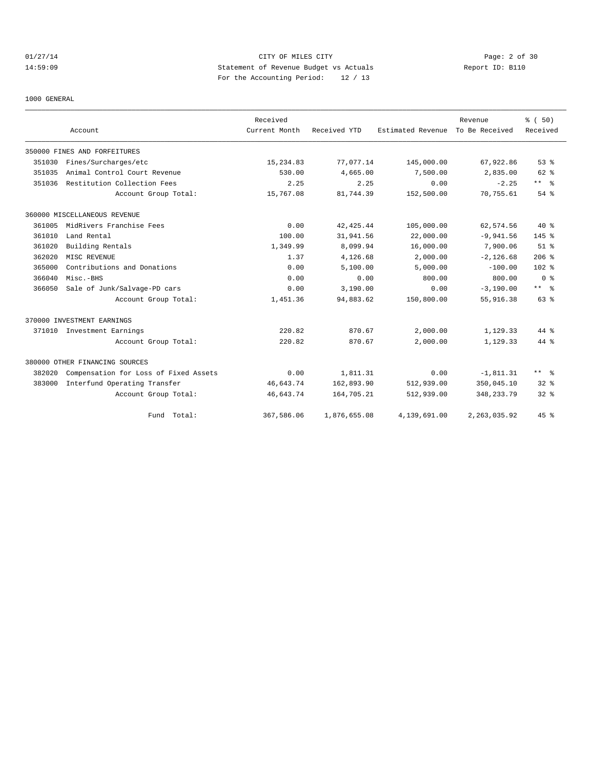# 01/27/14 Page: 2 of 30 14:59:09 Statement of Revenue Budget vs Actuals Report ID: B110 For the Accounting Period: 12 / 13

1000 GENERAL

|        |                                       | Received      |              |                   | Revenue        | % (50)               |
|--------|---------------------------------------|---------------|--------------|-------------------|----------------|----------------------|
|        | Account                               | Current Month | Received YTD | Estimated Revenue | To Be Received | Received             |
|        | 350000 FINES AND FORFEITURES          |               |              |                   |                |                      |
| 351030 | Fines/Surcharges/etc                  | 15,234.83     | 77,077.14    | 145,000.00        | 67,922.86      | 53%                  |
| 351035 | Animal Control Court Revenue          | 530.00        | 4,665.00     | 7,500.00          | 2,835.00       | $62$ $%$             |
| 351036 | Restitution Collection Fees           | 2.25          | 2.25         | 0.00              | $-2.25$        | $***$ $ \frac{6}{9}$ |
|        | Account Group Total:                  | 15,767.08     | 81,744.39    | 152,500.00        | 70,755.61      | 54 %                 |
|        | 360000 MISCELLANEOUS REVENUE          |               |              |                   |                |                      |
| 361005 | MidRivers Franchise Fees              | 0.00          | 42, 425.44   | 105,000.00        | 62,574.56      | $40*$                |
| 361010 | Land Rental                           | 100.00        | 31,941.56    | 22,000.00         | $-9,941.56$    | 145.8                |
| 361020 | Building Rentals                      | 1,349.99      | 8,099.94     | 16,000.00         | 7,900.06       | $51$ $%$             |
| 362020 | MISC REVENUE                          | 1.37          | 4,126.68     | 2,000.00          | $-2,126.68$    | $206$ %              |
| 365000 | Contributions and Donations           | 0.00          | 5.100.00     | 5.000.00          | $-100.00$      | 102 <sub>8</sub>     |
| 366040 | Misc.-BHS                             | 0.00          | 0.00         | 800.00            | 800.00         | 0 <sup>8</sup>       |
| 366050 | Sale of Junk/Salvage-PD cars          | 0.00          | 3,190.00     | 0.00              | $-3,190.00$    | $***$ $\approx$      |
|        | Account Group Total:                  | 1,451.36      | 94,883.62    | 150,800.00        | 55,916.38      | $63$ $%$             |
|        | 370000 INVESTMENT EARNINGS            |               |              |                   |                |                      |
| 371010 | Investment Earnings                   | 220.82        | 870.67       | 2,000.00          | 1,129.33       | 44 %                 |
|        | Account Group Total:                  | 220.82        | 870.67       | 2,000.00          | 1,129.33       | 44 %                 |
|        | 380000 OTHER FINANCING SOURCES        |               |              |                   |                |                      |
| 382020 | Compensation for Loss of Fixed Assets | 0.00          | 1,811.31     | 0.00              | $-1,811.31$    | $***$ 8              |
| 383000 | Interfund Operating Transfer          | 46,643.74     | 162,893.90   | 512,939.00        | 350,045.10     | $32*$                |
|        | Account Group Total:                  | 46,643.74     | 164,705.21   | 512,939.00        | 348, 233. 79   | $32*$                |
|        | Fund Total:                           | 367,586.06    | 1,876,655.08 | 4,139,691.00      | 2, 263, 035.92 | 45%                  |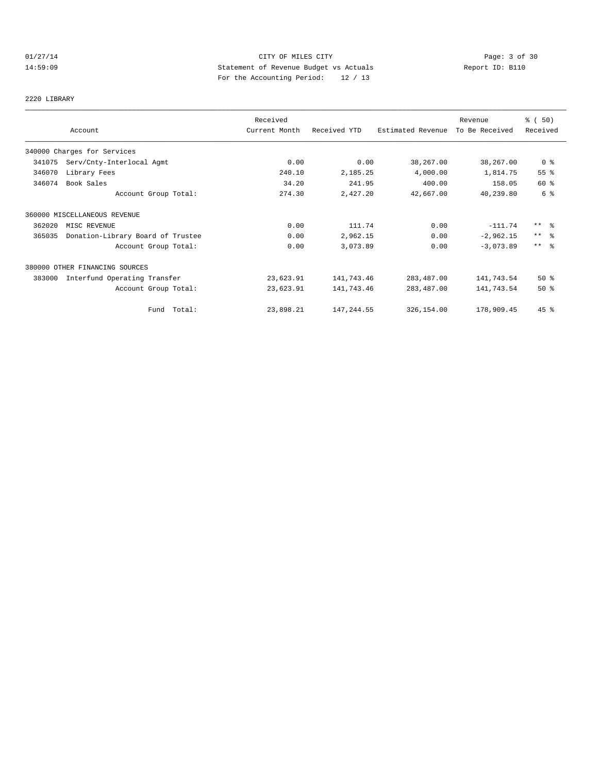# 01/27/14 Page: 3 of 30 14:59:09 Statement of Revenue Budget vs Actuals Report ID: B110 For the Accounting Period: 12 / 13

2220 LIBRARY

|        | Account                           | Received<br>Current Month | Received YTD | Estimated Revenue | Revenue<br>To Be Received | % (50)<br>Received |
|--------|-----------------------------------|---------------------------|--------------|-------------------|---------------------------|--------------------|
|        | 340000 Charges for Services       |                           |              |                   |                           |                    |
| 341075 | Serv/Cnty-Interlocal Agmt         | 0.00                      | 0.00         | 38,267.00         | 38,267.00                 | 0 <sub>8</sub>     |
| 346070 | Library Fees                      | 240.10                    | 2,185.25     | 4,000.00          | 1,814.75                  | 55 %               |
| 346074 | Book Sales                        | 34.20                     | 241.95       | 400.00            | 158.05                    | 60 %               |
|        | Account Group Total:              | 274.30                    | 2,427.20     | 42,667.00         | 40,239.80                 | 6 %                |
|        | 360000 MISCELLANEOUS REVENUE      |                           |              |                   |                           |                    |
| 362020 | MISC REVENUE                      | 0.00                      | 111.74       | 0.00              | $-111.74$                 | $***$ 8            |
| 365035 | Donation-Library Board of Trustee | 0.00                      | 2,962.15     | 0.00              | $-2,962.15$               | $***$ $\approx$    |
|        | Account Group Total:              | 0.00                      | 3,073.89     | 0.00              | $-3,073.89$               | $***$ $ -$         |
|        | 380000 OTHER FINANCING SOURCES    |                           |              |                   |                           |                    |
| 383000 | Interfund Operating Transfer      | 23,623.91                 | 141,743.46   | 283,487.00        | 141,743.54                | 50%                |
|        | Account Group Total:              | 23,623.91                 | 141,743.46   | 283,487.00        | 141,743.54                | 50%                |
|        | Fund Total:                       | 23,898.21                 | 147,244.55   | 326,154.00        | 178,909.45                | $45$ %             |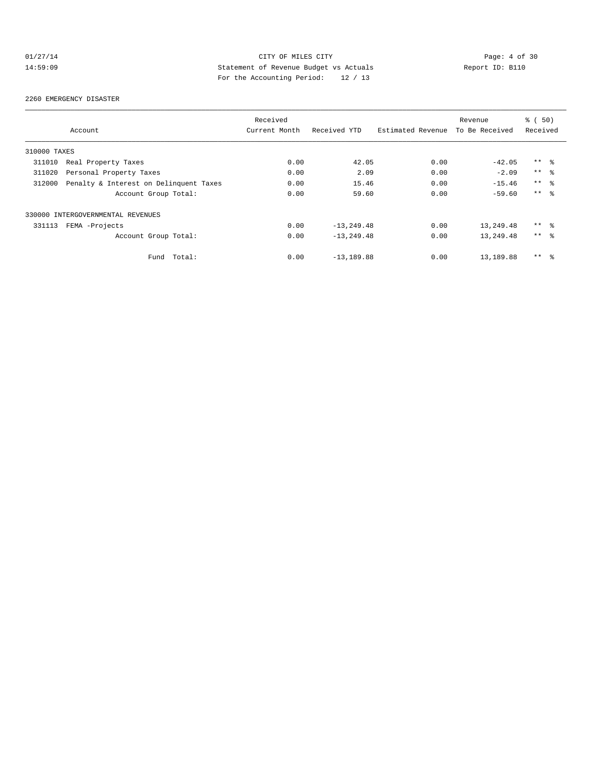# 01/27/14 CITY OF MILES CITY Page: 4 of 30<br>14:59:09 Statement of Revenue Budget vs Actuals Report ID: B110<br>Por the Accumular Deviced: 20.4.10 14:59:09 Statement of Revenue Budget vs Actuals Report ID: B110 For the Accounting Period: 12 / 13

#### 2260 EMERGENCY DISASTER

|              |                                        | Received      |               |                   | Revenue        | 8 ( 50)         |
|--------------|----------------------------------------|---------------|---------------|-------------------|----------------|-----------------|
|              | Account                                | Current Month | Received YTD  | Estimated Revenue | To Be Received | Received        |
| 310000 TAXES |                                        |               |               |                   |                |                 |
| 311010       | Real Property Taxes                    | 0.00          | 42.05         | 0.00              | $-42.05$       | $***$ %         |
| 311020       | Personal Property Taxes                | 0.00          | 2.09          | 0.00              | $-2.09$        | $***$ $ -$      |
| 312000       | Penalty & Interest on Delinquent Taxes | 0.00          | 15.46         | 0.00              | $-15.46$       | $***$ %         |
|              | Account Group Total:                   | 0.00          | 59.60         | 0.00              | $-59.60$       | $***$ $\approx$ |
|              | 330000 INTERGOVERNMENTAL REVENUES      |               |               |                   |                |                 |
| 331113       | FEMA -Projects                         | 0.00          | $-13, 249.48$ | 0.00              | 13,249.48      | $***$ %         |
|              | Account Group Total:                   | 0.00          | $-13, 249.48$ | 0.00              | 13,249.48      | $***$ $ -$      |
|              | Total:<br>Fund                         | 0.00          | $-13,189.88$  | 0.00              | 13,189.88      | $***$<br>- 옹    |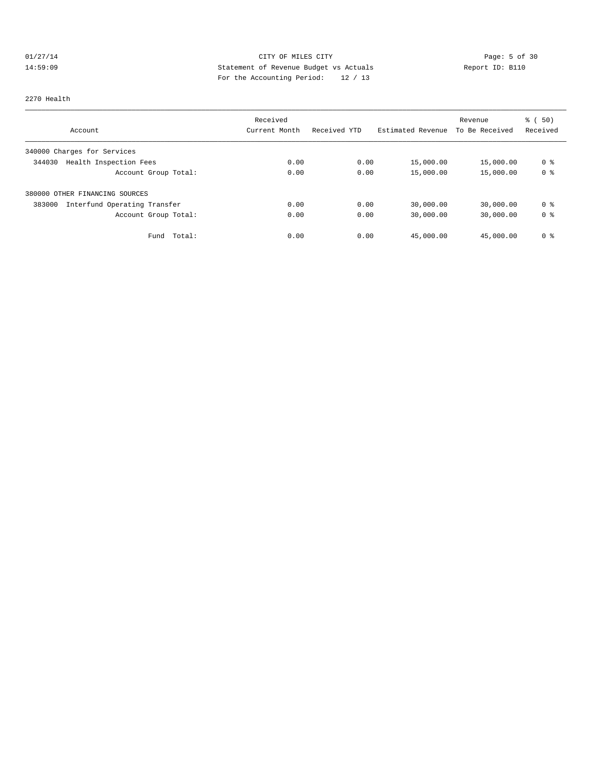# 01/27/14 CITY OF MILES CITY Page: 5 of 30<br>14:59:09 Statement of Revenue Budget vs Actuals Report ID: B110<br>Por the Accumular Deviced: 20.422 14:59:09 Statement of Revenue Budget vs Actuals Report ID: B110 For the Accounting Period: 12 / 13

#### 2270 Health

|                                        | Received      |              |                   | Revenue        | % ( 50 )       |
|----------------------------------------|---------------|--------------|-------------------|----------------|----------------|
| Account                                | Current Month | Received YTD | Estimated Revenue | To Be Received | Received       |
| 340000 Charges for Services            |               |              |                   |                |                |
| Health Inspection Fees<br>344030       | 0.00          | 0.00         | 15,000.00         | 15,000.00      | 0 <sup>8</sup> |
| Account Group Total:                   | 0.00          | 0.00         | 15,000.00         | 15,000.00      | 0 <sup>8</sup> |
| 380000 OTHER FINANCING SOURCES         |               |              |                   |                |                |
| 383000<br>Interfund Operating Transfer | 0.00          | 0.00         | 30,000.00         | 30,000.00      | 0 %            |
| Account Group Total:                   | 0.00          | 0.00         | 30,000.00         | 30,000.00      | 0 <sup>8</sup> |
| Total:<br>Fund                         | 0.00          | 0.00         | 45,000.00         | 45,000.00      | 0 <sup>8</sup> |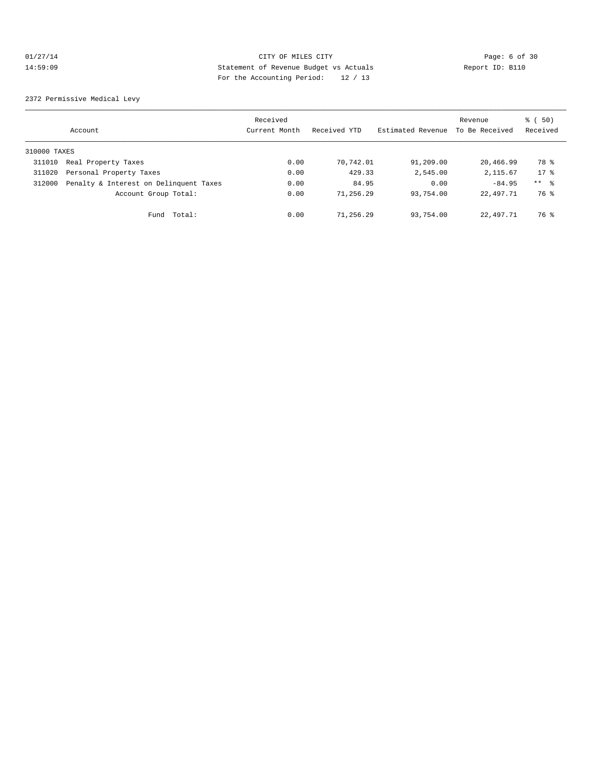# 01/27/14 CITY OF MILES CITY Page: 6 of 30<br>14:59:09 Statement of Revenue Budget vs Actuals Report ID: B110<br>Por the Accumular Deviced: 20.422 14:59:09 Statement of Revenue Budget vs Actuals Report ID: B110 For the Accounting Period: 12 / 13

2372 Permissive Medical Levy

|              | Account                                | Received<br>Current Month | Received YTD | Estimated Revenue | Revenue<br>To Be Received | 8 ( 50)<br>Received |
|--------------|----------------------------------------|---------------------------|--------------|-------------------|---------------------------|---------------------|
| 310000 TAXES |                                        |                           |              |                   |                           |                     |
| 311010       | Real Property Taxes                    | 0.00                      | 70,742.01    | 91,209.00         | 20,466.99                 | 78 %                |
| 311020       | Personal Property Taxes                | 0.00                      | 429.33       | 2,545.00          | 2,115.67                  | $17*$               |
| 312000       | Penalty & Interest on Delinquent Taxes | 0.00                      | 84.95        | 0.00              | $-84.95$                  | $***$ $ -$          |
|              | Account Group Total:                   | 0.00                      | 71,256.29    | 93,754.00         | 22,497.71                 | 76 %                |
|              | Total:<br>Fund                         | 0.00                      | 71,256.29    | 93,754.00         | 22,497.71                 | 76 %                |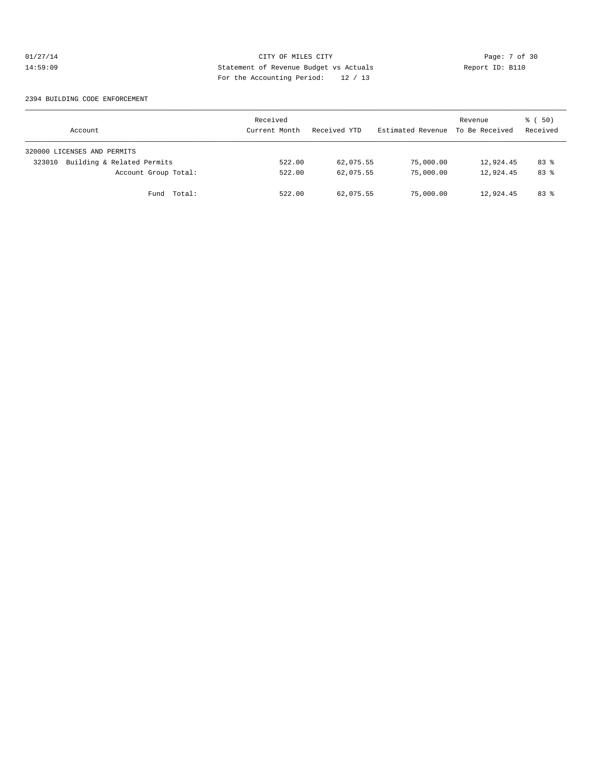# 01/27/14 CITY OF MILES CITY Page: 7 of 30<br>14:59:09 Statement of Revenue Budget vs Actuals Report ID: B110<br>Por the Accumular Deviced: 20 (10) 14:59:09 Statement of Revenue Budget vs Actuals Report ID: B110 For the Accounting Period: 12 / 13

#### 2394 BUILDING CODE ENFORCEMENT

| Account                              | Received<br>Current Month | Received YTD | Estimated Revenue | Revenue<br>To Be Received | 8 ( 50)<br>Received |
|--------------------------------------|---------------------------|--------------|-------------------|---------------------------|---------------------|
| 320000 LICENSES AND PERMITS          |                           |              |                   |                           |                     |
| Building & Related Permits<br>323010 | 522.00                    | 62,075.55    | 75,000.00         | 12,924.45                 | 83%                 |
| Account Group Total:                 | 522.00                    | 62,075.55    | 75,000.00         | 12,924.45                 | 83%                 |
| Fund Total:                          | 522.00                    | 62,075.55    | 75,000.00         | 12,924.45                 | 83%                 |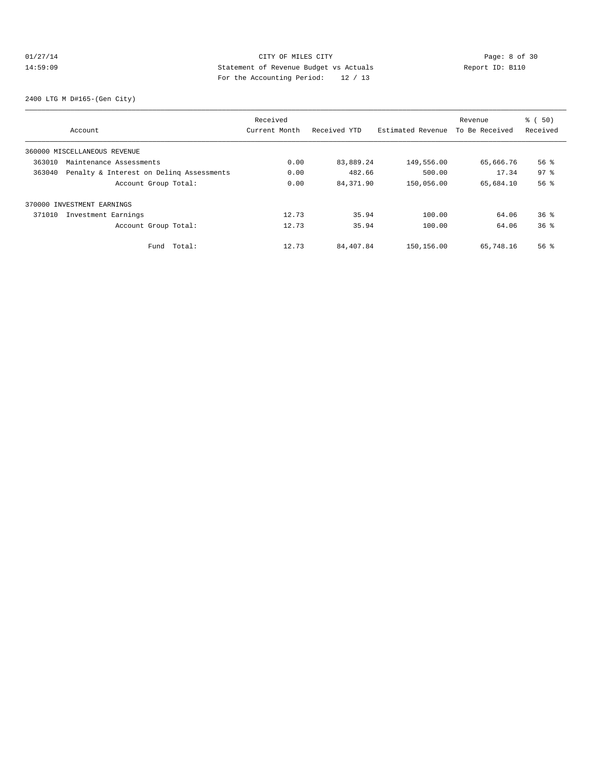# 01/27/14 Page: 8 of 30 14:59:09 Statement of Revenue Budget vs Actuals Report ID: B110 For the Accounting Period: 12 / 13

2400 LTG M D#165-(Gen City)

|        |                                          | Received      |              |                   | Revenue        | % ( 50)         |
|--------|------------------------------------------|---------------|--------------|-------------------|----------------|-----------------|
|        | Account                                  | Current Month | Received YTD | Estimated Revenue | To Be Received | Received        |
|        | 360000 MISCELLANEOUS REVENUE             |               |              |                   |                |                 |
| 363010 | Maintenance Assessments                  | 0.00          | 83,889.24    | 149,556.00        | 65,666.76      | 56%             |
| 363040 | Penalty & Interest on Deling Assessments | 0.00          | 482.66       | 500.00            | 17.34          | 97 <sup>°</sup> |
|        | Account Group Total:                     | 0.00          | 84, 371, 90  | 150,056.00        | 65,684.10      | 56 <sup>8</sup> |
|        | 370000 INVESTMENT EARNINGS               |               |              |                   |                |                 |
| 371010 | Investment Earnings                      | 12.73         | 35.94        | 100.00            | 64.06          | $36*$           |
|        | Account Group Total:                     | 12.73         | 35.94        | 100.00            | 64.06          | 36 <sup>8</sup> |
|        | Total:<br>Fund                           | 12.73         | 84,407.84    | 150,156.00        | 65,748.16      | 56 <sup>8</sup> |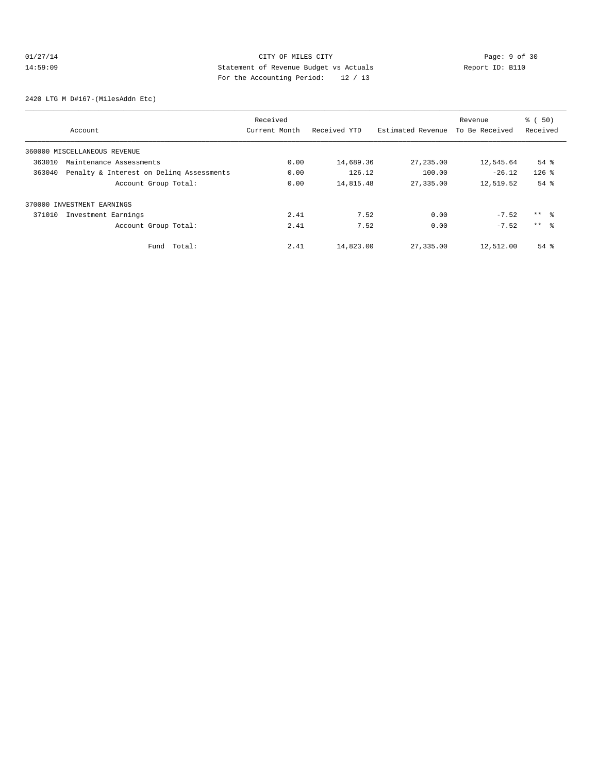# 01/27/14 CITY OF MILES CITY Page: 9 of 30<br>14:59:09 Statement of Revenue Budget vs Actuals Report ID: B110<br>Por the Accumular Deviced: 20 (10) 14:59:09 Statement of Revenue Budget vs Actuals Report ID: B110 For the Accounting Period: 12 / 13

2420 LTG M D#167-(MilesAddn Etc)

|        |                                          | Received      |              |                   | Revenue        | % ( 50)         |
|--------|------------------------------------------|---------------|--------------|-------------------|----------------|-----------------|
|        | Account                                  | Current Month | Received YTD | Estimated Revenue | To Be Received | Received        |
|        | 360000 MISCELLANEOUS REVENUE             |               |              |                   |                |                 |
| 363010 | Maintenance Assessments                  | 0.00          | 14,689.36    | 27, 235.00        | 12,545.64      | $54$ $%$        |
| 363040 | Penalty & Interest on Deling Assessments | 0.00          | 126.12       | 100.00            | $-26.12$       | $126$ %         |
|        | Account Group Total:                     | 0.00          | 14,815.48    | 27,335.00         | 12,519.52      | $54$ $%$        |
|        | 370000 INVESTMENT EARNINGS               |               |              |                   |                |                 |
| 371010 | Investment Earnings                      | 2.41          | 7.52         | 0.00              | $-7.52$        | ** %            |
|        | Account Group Total:                     | 2.41          | 7.52         | 0.00              | $-7.52$        | $***$ $\approx$ |
|        | Total:<br>Fund                           | 2.41          | 14,823.00    | 27,335.00         | 12,512.00      | $54$ $%$        |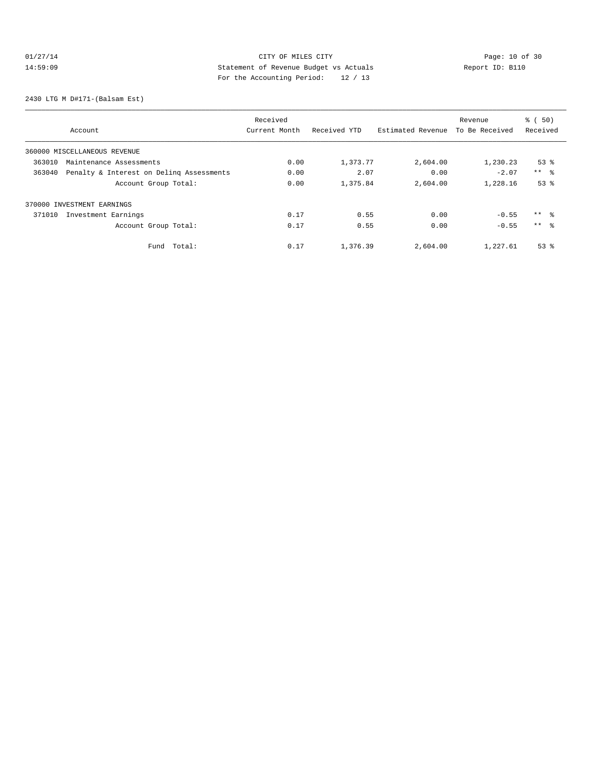# 01/27/14 Page: 10 of 30<br>14:59:09 Statement of Revenue Budget vs Actuals<br>19 (12) Page: 10 (12) Page: 10 (12) Page: 10 (12) Page: 10 (12) Page: 10 (12) Page: 10 (12) Page: 10 (12) Page: 12<br>2011 Page: 12 (12) Page: 12 (12) Pa 14:59:09 Statement of Revenue Budget vs Actuals Report ID: B110 For the Accounting Period: 12 / 13

2430 LTG M D#171-(Balsam Est)

|        |                                          | Received      |              |                   | Revenue        | % ( 50)         |
|--------|------------------------------------------|---------------|--------------|-------------------|----------------|-----------------|
|        | Account                                  | Current Month | Received YTD | Estimated Revenue | To Be Received | Received        |
|        | 360000 MISCELLANEOUS REVENUE             |               |              |                   |                |                 |
| 363010 | Maintenance Assessments                  | 0.00          | 1,373.77     | 2,604.00          | 1,230.23       | $53$ $%$        |
| 363040 | Penalty & Interest on Deling Assessments | 0.00          | 2.07         | 0.00              | $-2.07$        | $***$ 8         |
|        | Account Group Total:                     | 0.00          | 1,375.84     | 2,604.00          | 1,228.16       | 53 <sup>8</sup> |
|        | 370000 INVESTMENT EARNINGS               |               |              |                   |                |                 |
| 371010 | Investment Earnings                      | 0.17          | 0.55         | 0.00              | $-0.55$        | $***$ $\approx$ |
|        | Account Group Total:                     | 0.17          | 0.55         | 0.00              | $-0.55$        | $***$ $\approx$ |
|        | Total:<br>Fund                           | 0.17          | 1,376.39     | 2,604.00          | 1,227.61       | $53$ $%$        |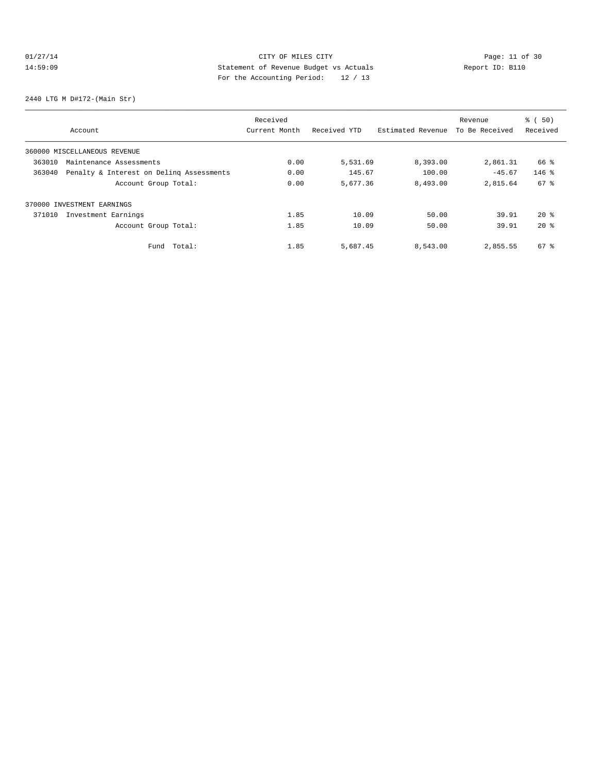# 01/27/14 Page: 11 of 30 14:59:09 Statement of Revenue Budget vs Actuals Report ID: B110 For the Accounting Period: 12 / 13

2440 LTG M D#172-(Main Str)

|        |                                          | Received      |              |                   | Revenue        | % ( 50)  |
|--------|------------------------------------------|---------------|--------------|-------------------|----------------|----------|
|        | Account                                  | Current Month | Received YTD | Estimated Revenue | To Be Received | Received |
|        | 360000 MISCELLANEOUS REVENUE             |               |              |                   |                |          |
| 363010 | Maintenance Assessments                  | 0.00          | 5,531.69     | 8,393.00          | 2,861.31       | 66 %     |
| 363040 | Penalty & Interest on Deling Assessments | 0.00          | 145.67       | 100.00            | $-45.67$       | $146$ %  |
|        | Account Group Total:                     | 0.00          | 5,677.36     | 8,493.00          | 2,815.64       | 67 %     |
|        | 370000 INVESTMENT EARNINGS               |               |              |                   |                |          |
| 371010 | Investment Earnings                      | 1.85          | 10.09        | 50.00             | 39.91          | $20*$    |
|        | Account Group Total:                     | 1.85          | 10.09        | 50.00             | 39.91          | $20*$    |
|        | Total:<br>Fund                           | 1.85          | 5,687.45     | 8,543.00          | 2,855.55       | 67 %     |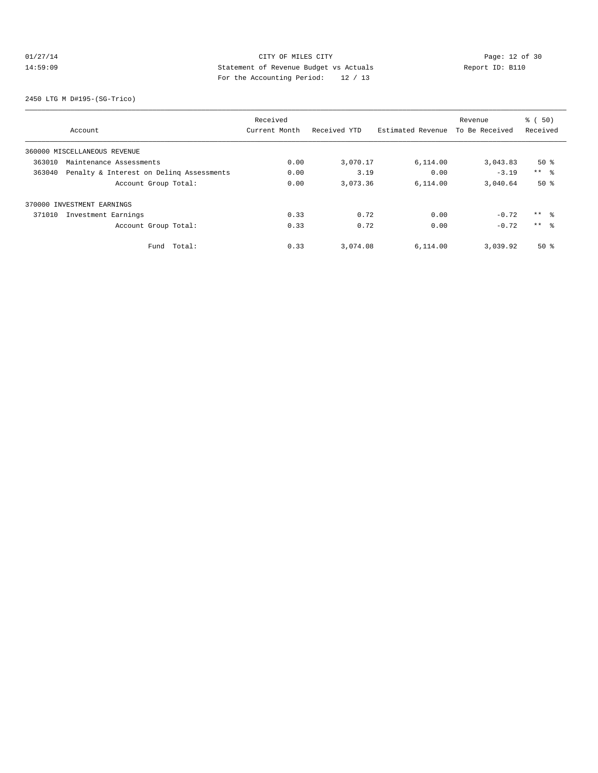# 01/27/14 Page: 12 of 30 14:59:09 Statement of Revenue Budget vs Actuals Report ID: B110 For the Accounting Period: 12 / 13

2450 LTG M D#195-(SG-Trico)

|        |                                          | Received      |              |                   | Revenue        | % ( 50)    |
|--------|------------------------------------------|---------------|--------------|-------------------|----------------|------------|
|        | Account                                  | Current Month | Received YTD | Estimated Revenue | To Be Received | Received   |
|        | 360000 MISCELLANEOUS REVENUE             |               |              |                   |                |            |
| 363010 | Maintenance Assessments                  | 0.00          | 3,070.17     | 6,114.00          | 3,043.83       | $50*$      |
| 363040 | Penalty & Interest on Deling Assessments | 0.00          | 3.19         | 0.00              | $-3.19$        | $***$ $ -$ |
|        | Account Group Total:                     | 0.00          | 3,073.36     | 6,114.00          | 3,040.64       | $50*$      |
|        | 370000 INVESTMENT EARNINGS               |               |              |                   |                |            |
| 371010 | Investment Earnings                      | 0.33          | 0.72         | 0.00              | $-0.72$        | $***$ %    |
|        | Account Group Total:                     | 0.33          | 0.72         | 0.00              | $-0.72$        | $***$ %    |
|        | Total:<br>Fund                           | 0.33          | 3,074.08     | 6,114.00          | 3,039.92       | $50*$      |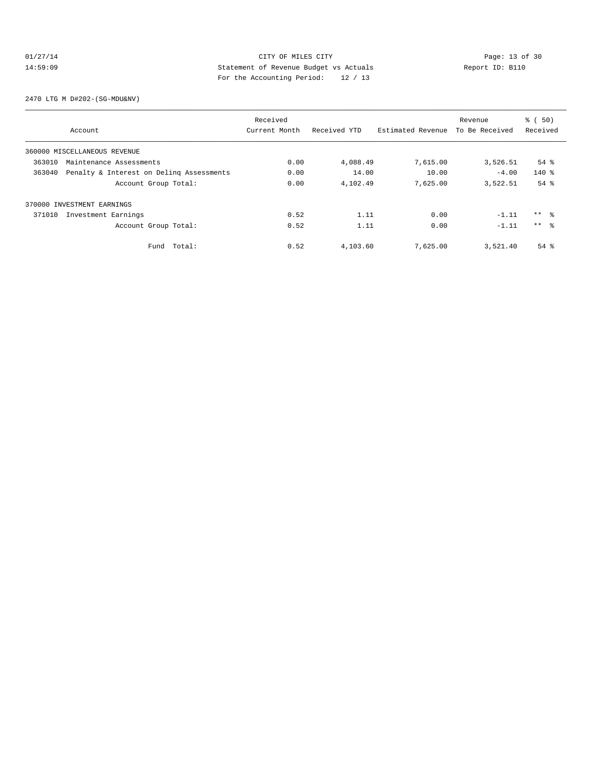# 01/27/14 Page: 13 of 30 14:59:09 Statement of Revenue Budget vs Actuals Report ID: B110<br>Report ID: B110 For the Accounting Period: 12 / 13

2470 LTG M D#202-(SG-MDU&NV)

|        |                                          | Received      |              |                   | Revenue        | $\frac{1}{6}$ (50) |
|--------|------------------------------------------|---------------|--------------|-------------------|----------------|--------------------|
|        | Account                                  | Current Month | Received YTD | Estimated Revenue | To Be Received | Received           |
|        | 360000 MISCELLANEOUS REVENUE             |               |              |                   |                |                    |
| 363010 | Maintenance Assessments                  | 0.00          | 4,088.49     | 7,615.00          | 3,526.51       | $54$ $%$           |
| 363040 | Penalty & Interest on Deling Assessments | 0.00          | 14.00        | 10.00             | $-4.00$        | $140*$             |
|        | Account Group Total:                     | 0.00          | 4,102.49     | 7,625.00          | 3,522.51       | $54$ $%$           |
|        | 370000 INVESTMENT EARNINGS               |               |              |                   |                |                    |
| 371010 | Investment Earnings                      | 0.52          | 1.11         | 0.00              | $-1.11$        | $***$ 8            |
|        | Account Group Total:                     | 0.52          | 1.11         | 0.00              | $-1.11$        | $***$ $\approx$    |
|        | Total:<br>Fund                           | 0.52          | 4,103.60     | 7,625.00          | 3,521.40       | $54$ $%$           |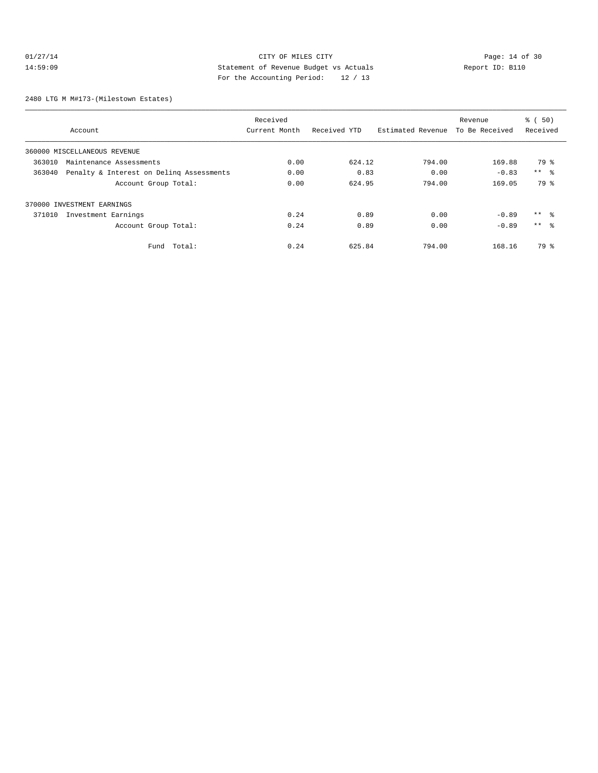# 01/27/14 Page: 14 of 30 14:59:09 Statement of Revenue Budget vs Actuals Report ID: B110 For the Accounting Period: 12 / 13

2480 LTG M M#173-(Milestown Estates)

|                                                    | Received      |              |                   | Revenue        | % ( 50)         |
|----------------------------------------------------|---------------|--------------|-------------------|----------------|-----------------|
| Account                                            | Current Month | Received YTD | Estimated Revenue | To Be Received | Received        |
| 360000 MISCELLANEOUS REVENUE                       |               |              |                   |                |                 |
| 363010<br>Maintenance Assessments                  | 0.00          | 624.12       | 794.00            | 169.88         | 79 %            |
| Penalty & Interest on Deling Assessments<br>363040 | 0.00          | 0.83         | 0.00              | $-0.83$        | $***$ $ -$      |
| Account Group Total:                               | 0.00          | 624.95       | 794.00            | 169.05         | 79 %            |
| 370000 INVESTMENT EARNINGS                         |               |              |                   |                |                 |
| 371010<br>Investment Earnings                      | 0.24          | 0.89         | 0.00              | $-0.89$        | $***$ %         |
| Account Group Total:                               | 0.24          | 0.89         | 0.00              | $-0.89$        | $***$ $\approx$ |
| Total:<br>Fund                                     | 0.24          | 625.84       | 794.00            | 168.16         | 79 %            |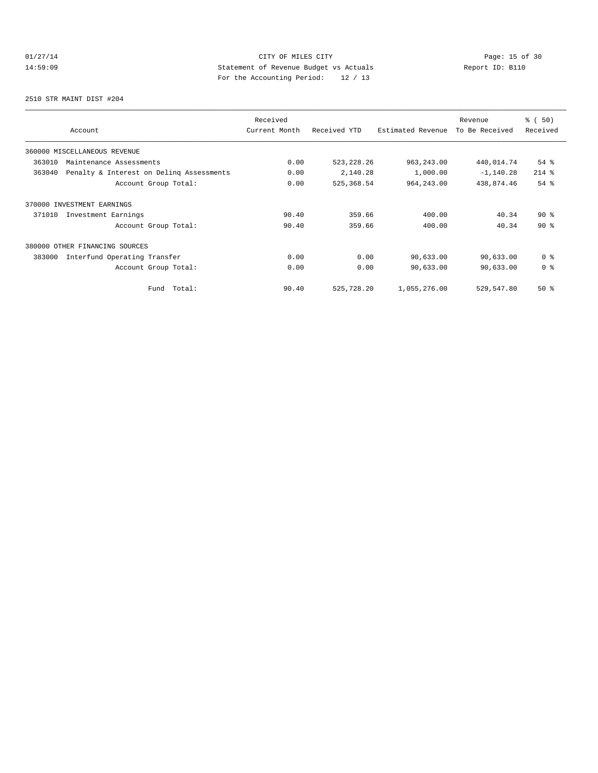# 01/27/14 Page: 15 of 30 14:59:09 Statement of Revenue Budget vs Actuals Report ID: B110<br>Report ID: B110 For the Accounting Period: 12 / 13

2510 STR MAINT DIST #204

| Account                                            | Received<br>Current Month | Received YTD | Estimated Revenue | Revenue<br>To Be Received | % (50)<br>Received |
|----------------------------------------------------|---------------------------|--------------|-------------------|---------------------------|--------------------|
| 360000 MISCELLANEOUS REVENUE                       |                           |              |                   |                           |                    |
| 363010<br>Maintenance Assessments                  | 0.00                      | 523, 228.26  | 963, 243.00       | 440,014.74                | $54$ $%$           |
| 363040<br>Penalty & Interest on Deling Assessments | 0.00                      | 2,140.28     | 1,000.00          | $-1, 140.28$              | $214$ %            |
| Account Group Total:                               | 0.00                      | 525, 368.54  | 964, 243.00       | 438,874.46                | 54%                |
| 370000 INVESTMENT EARNINGS                         |                           |              |                   |                           |                    |
| Investment Earnings<br>371010                      | 90.40                     | 359.66       | 400.00            | 40.34                     | $90*$              |
| Account Group Total:                               | 90.40                     | 359.66       | 400.00            | 40.34                     | $90*$              |
| 380000 OTHER FINANCING SOURCES                     |                           |              |                   |                           |                    |
| 383000<br>Interfund Operating Transfer             | 0.00                      | 0.00         | 90,633.00         | 90,633.00                 | 0 <sup>8</sup>     |
| Account Group Total:                               | 0.00                      | 0.00         | 90,633.00         | 90,633.00                 | 0 <sup>8</sup>     |
| Total:<br>Fund                                     | 90.40                     | 525,728.20   | 1,055,276.00      | 529,547.80                | $50*$              |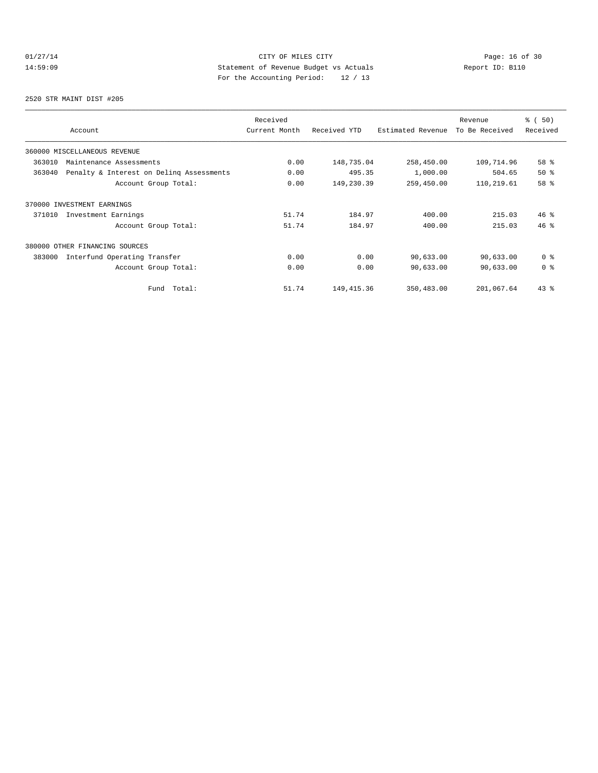# 01/27/14 Page: 16 of 30<br>14:59:09 Statement of Revenue Budget vs Actuals<br>19 (12) Page: 16 Of 30<br>19 Page: the Accounting Dominal: 12 (12) Page: 17 (12) 14:59:09 Statement of Revenue Budget vs Actuals Report ID: B110 For the Accounting Period: 12 / 13

2520 STR MAINT DIST #205

| Account                                            | Received<br>Current Month | Received YTD | Estimated Revenue | Revenue<br>To Be Received | % (50)<br>Received |
|----------------------------------------------------|---------------------------|--------------|-------------------|---------------------------|--------------------|
| 360000 MISCELLANEOUS REVENUE                       |                           |              |                   |                           |                    |
| 363010<br>Maintenance Assessments                  | 0.00                      | 148,735.04   | 258,450.00        | 109,714.96                | 58 %               |
| 363040<br>Penalty & Interest on Deling Assessments | 0.00                      | 495.35       | 1,000.00          | 504.65                    | $50*$              |
| Account Group Total:                               | 0.00                      | 149,230.39   | 259,450.00        | 110,219.61                | 58 %               |
| 370000 INVESTMENT EARNINGS                         |                           |              |                   |                           |                    |
| Investment Earnings<br>371010                      | 51.74                     | 184.97       | 400.00            | 215.03                    | $46*$              |
| Account Group Total:                               | 51.74                     | 184.97       | 400.00            | 215.03                    | 46%                |
| 380000 OTHER FINANCING SOURCES                     |                           |              |                   |                           |                    |
| 383000<br>Interfund Operating Transfer             | 0.00                      | 0.00         | 90,633.00         | 90,633.00                 | 0 <sup>8</sup>     |
| Account Group Total:                               | 0.00                      | 0.00         | 90,633.00         | 90,633.00                 | 0 <sup>8</sup>     |
| Total:<br>Fund                                     | 51.74                     | 149, 415.36  | 350,483.00        | 201,067.64                | $43$ $%$           |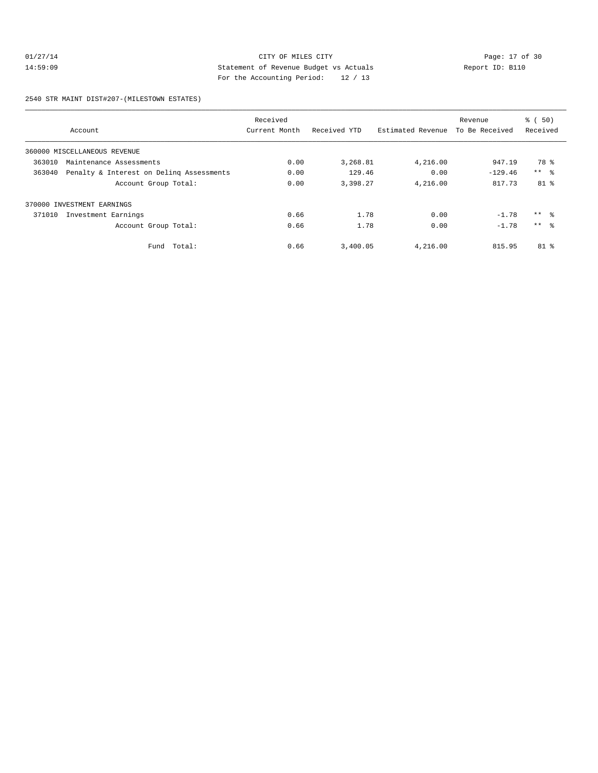# 01/27/14 Page: 17 of 30<br>14:59:09 Statement of Revenue Budget vs Actuals<br>20 October 20 October 20 October 20 October 20 October 20 October 20 October 20 October 20 October 20 October 20 October 20 October 20 October 20 Octo 14:59:09 Statement of Revenue Budget vs Actuals Report ID: B110 For the Accounting Period: 12 / 13

2540 STR MAINT DIST#207-(MILESTOWN ESTATES)

|        |                                          | Received      |              |                   | Revenue        | % ( 50)         |
|--------|------------------------------------------|---------------|--------------|-------------------|----------------|-----------------|
|        | Account                                  | Current Month | Received YTD | Estimated Revenue | To Be Received | Received        |
|        | 360000 MISCELLANEOUS REVENUE             |               |              |                   |                |                 |
| 363010 | Maintenance Assessments                  | 0.00          | 3,268.81     | 4,216.00          | 947.19         | 78 %            |
| 363040 | Penalty & Interest on Deling Assessments | 0.00          | 129.46       | 0.00              | $-129.46$      | $***$ $ -$      |
|        | Account Group Total:                     | 0.00          | 3,398.27     | 4,216.00          | 817.73         | 81 <sub>8</sub> |
|        | 370000 INVESTMENT EARNINGS               |               |              |                   |                |                 |
| 371010 | Investment Earnings                      | 0.66          | 1.78         | 0.00              | $-1.78$        | $***$ 8         |
|        | Account Group Total:                     | 0.66          | 1.78         | 0.00              | $-1.78$        | $***$ $\approx$ |
|        | Fund Total:                              | 0.66          | 3,400.05     | 4,216.00          | 815.95         | 81 %            |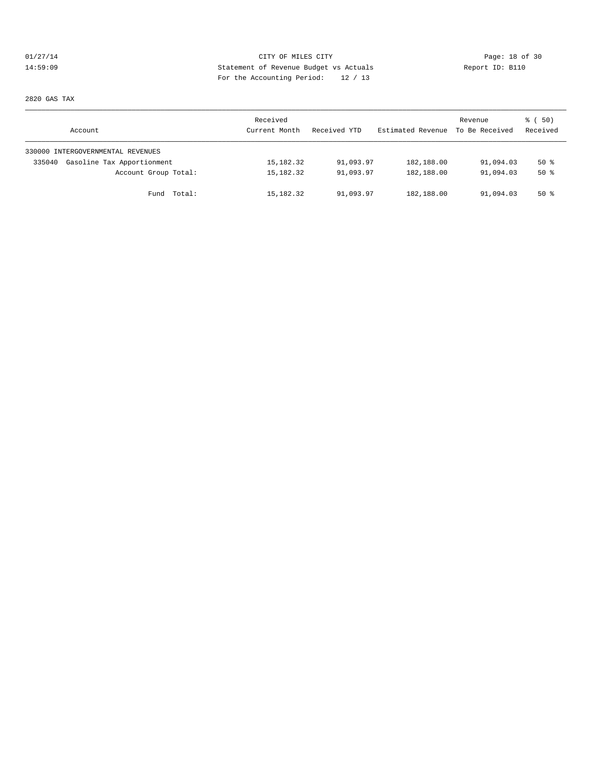# $01/27/14$  Page: 18 of 30 14:59:09 Statement of Revenue Budget vs Actuals Report ID: B110 For the Accounting Period: 12 / 13

2820 GAS TAX

| Account                              | Received<br>Current Month | Received YTD | Estimated Revenue | Revenue<br>To Be Received | 8 ( 50)<br>Received |
|--------------------------------------|---------------------------|--------------|-------------------|---------------------------|---------------------|
| 330000 INTERGOVERNMENTAL REVENUES    |                           |              |                   |                           |                     |
| Gasoline Tax Apportionment<br>335040 | 15,182.32                 | 91,093.97    | 182,188.00        | 91,094.03                 | $50*$               |
| Account Group Total:                 | 15,182.32                 | 91,093.97    | 182,188.00        | 91,094.03                 | $50*$               |
| Fund Total:                          | 15,182.32                 | 91,093.97    | 182,188.00        | 91,094.03                 | $50*$               |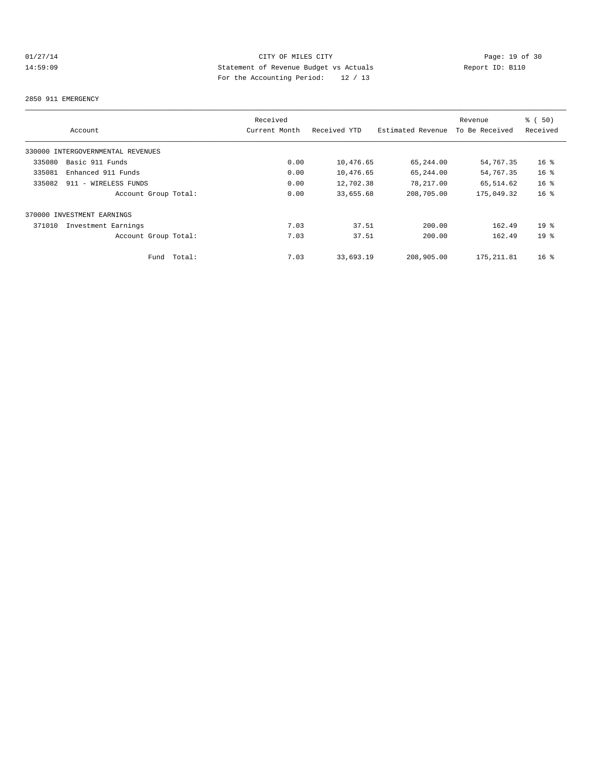# 01/27/14 Page: 19 of 30<br>14:59:09 Statement of Revenue Budget vs Actuals<br>19 Of 12 Page: 19 Of 30<br>19 Of the Moreculation Device: 19 Of 12 14:59:09 Statement of Revenue Budget vs Actuals Report ID: B110 For the Accounting Period: 12 / 13

#### 2850 911 EMERGENCY

|                                   |        | Received      |              |                   | Revenue        | % (50)          |
|-----------------------------------|--------|---------------|--------------|-------------------|----------------|-----------------|
| Account                           |        | Current Month | Received YTD | Estimated Revenue | To Be Received | Received        |
| 330000 INTERGOVERNMENTAL REVENUES |        |               |              |                   |                |                 |
| Basic 911 Funds<br>335080         |        | 0.00          | 10,476.65    | 65,244.00         | 54,767.35      | 16 <sup>8</sup> |
| 335081<br>Enhanced 911 Funds      |        | 0.00          | 10,476.65    | 65,244.00         | 54,767.35      | 16 <sup>8</sup> |
| 335082<br>911 - WIRELESS FUNDS    |        | 0.00          | 12,702.38    | 78,217.00         | 65,514.62      | 16 <sup>°</sup> |
| Account Group Total:              |        | 0.00          | 33,655.68    | 208,705.00        | 175,049.32     | 16 <sup>8</sup> |
| 370000 INVESTMENT EARNINGS        |        |               |              |                   |                |                 |
| 371010<br>Investment Earnings     |        | 7.03          | 37.51        | 200.00            | 162.49         | 19 <sup>°</sup> |
| Account Group Total:              |        | 7.03          | 37.51        | 200.00            | 162.49         | 19 <sup>°</sup> |
| Fund                              | Total: | 7.03          | 33,693.19    | 208,905.00        | 175, 211.81    | $16*$           |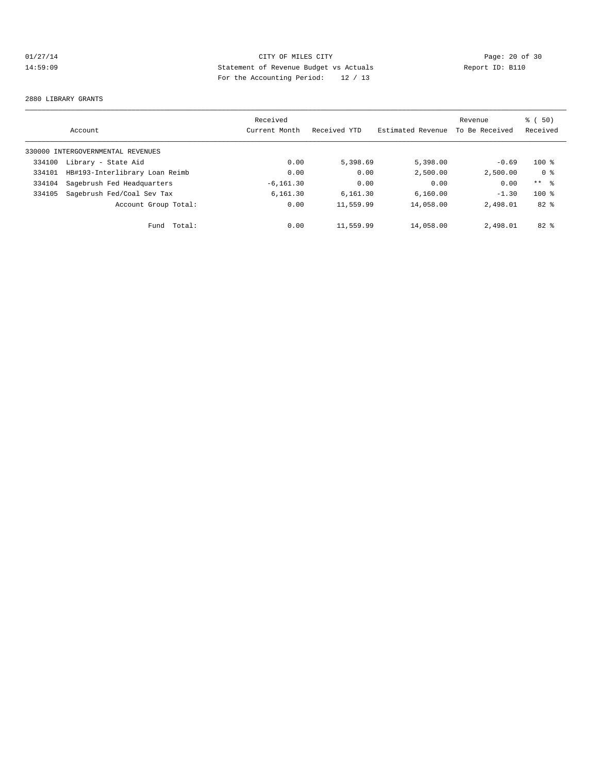# 01/27/14 Page: 20 of 30<br>14:59:09 Statement of Revenue Budget vs Actuals<br>20 Of 30 Page: 20 Of 30 Statement of Revenue Budget vs Actuals 14:59:09 Statement of Revenue Budget vs Actuals Report ID: B110 For the Accounting Period: 12 / 13

#### 2880 LIBRARY GRANTS

|        | Account                           | Received<br>Current Month | Received YTD | Estimated Revenue | Revenue<br>To Be Received | 50)<br>ී (<br>Received |
|--------|-----------------------------------|---------------------------|--------------|-------------------|---------------------------|------------------------|
|        | 330000 INTERGOVERNMENTAL REVENUES |                           |              |                   |                           |                        |
| 334100 | Library - State Aid               | 0.00                      | 5,398.69     | 5,398.00          | $-0.69$                   | $100$ %                |
| 334101 | HB#193-Interlibrary Loan Reimb    | 0.00                      | 0.00         | 2,500.00          | 2.500.00                  | 0 <sup>8</sup>         |
| 334104 | Sagebrush Fed Headquarters        | $-6, 161.30$              | 0.00         | 0.00              | 0.00                      | $***$ $ -$             |
| 334105 | Sagebrush Fed/Coal Sev Tax        | 6,161.30                  | 6,161.30     | 6,160.00          | $-1.30$                   | $100*$                 |
|        | Account Group Total:              | 0.00                      | 11,559.99    | 14,058.00         | 2,498.01                  | $82*$                  |
|        | Total:<br>Fund                    | 0.00                      | 11,559.99    | 14,058.00         | 2,498.01                  | $82*$                  |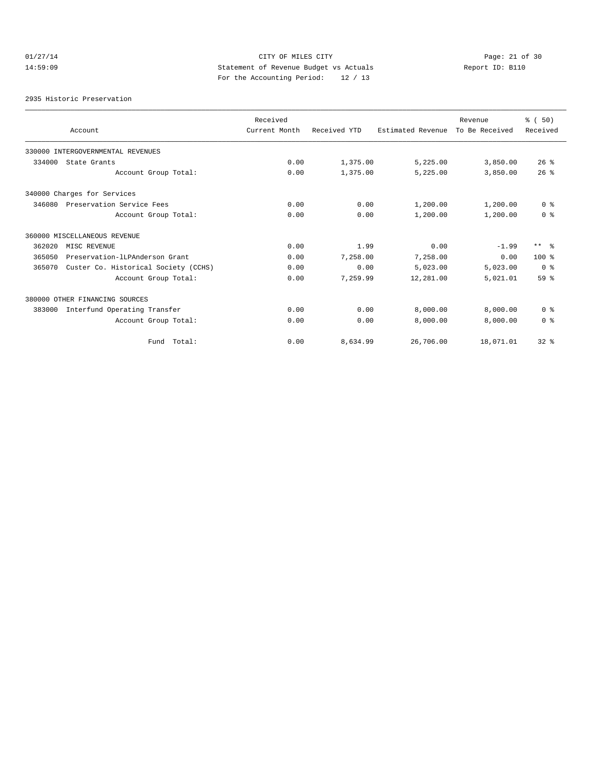# 01/27/14 Page: 21 of 30<br>14:59:09 Statement of Revenue Budget vs Actuals<br>20. Actual Page: 21 of 20. Actual Page: 21 of 30<br>20. Actual Page: 21 of 30<br>20. Actual Page: 21 of 30 14:59:09 Statement of Revenue Budget vs Actuals Report ID: B110 For the Accounting Period: 12 / 13

2935 Historic Preservation

|        |                                      | Received      |              |                   | Revenue        | % (50)         |
|--------|--------------------------------------|---------------|--------------|-------------------|----------------|----------------|
|        | Account                              | Current Month | Received YTD | Estimated Revenue | To Be Received | Received       |
|        | 330000 INTERGOVERNMENTAL REVENUES    |               |              |                   |                |                |
| 334000 | State Grants                         | 0.00          | 1,375.00     | 5,225.00          | 3,850.00       | 26%            |
|        | Account Group Total:                 | 0.00          | 1,375.00     | 5,225.00          | 3,850.00       | 26%            |
|        | 340000 Charges for Services          |               |              |                   |                |                |
| 346080 | Preservation Service Fees            | 0.00          | 0.00         | 1,200.00          | 1,200.00       | 0 <sup>8</sup> |
|        | Account Group Total:                 | 0.00          | 0.00         | 1,200.00          | 1,200.00       | 0 <sup>8</sup> |
|        | 360000 MISCELLANEOUS REVENUE         |               |              |                   |                |                |
| 362020 | MISC REVENUE                         | 0.00          | 1.99         | 0.00              | $-1.99$        | $***$ 8        |
| 365050 | Preservation-ILPAnderson Grant       | 0.00          | 7,258.00     | 7,258.00          | 0.00           | $100*$         |
| 365070 | Custer Co. Historical Society (CCHS) | 0.00          | 0.00         | 5,023.00          | 5,023.00       | 0 <sup>8</sup> |
|        | Account Group Total:                 | 0.00          | 7,259.99     | 12,281.00         | 5,021.01       | 59 %           |
|        | 380000 OTHER FINANCING SOURCES       |               |              |                   |                |                |
| 383000 | Interfund Operating Transfer         | 0.00          | 0.00         | 8,000.00          | 8,000.00       | 0 <sup>8</sup> |
|        | Account Group Total:                 | 0.00          | 0.00         | 8,000.00          | 8,000.00       | 0 <sup>8</sup> |
|        | Fund Total:                          | 0.00          | 8,634.99     | 26,706.00         | 18,071.01      | $32$ $%$       |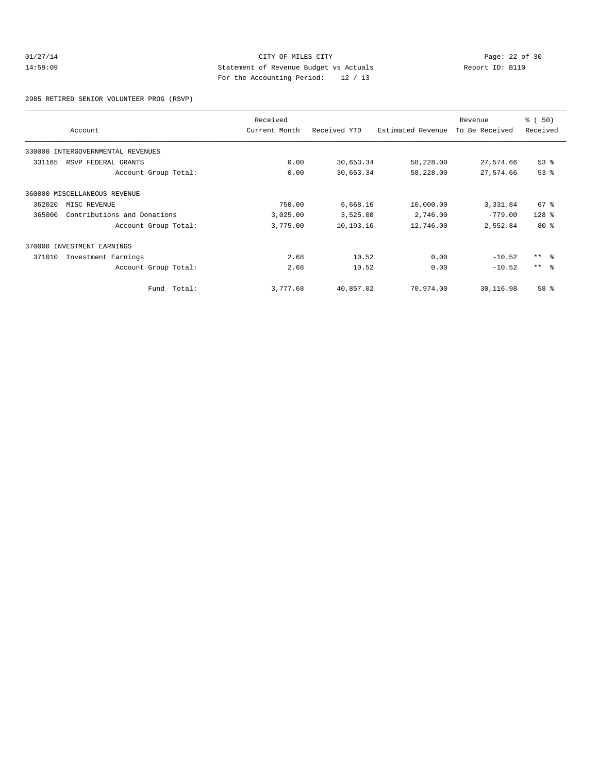# 01/27/14 Page: 22 of 30<br>14:59:09 Statement of Revenue Budget vs Actuals<br>20 October 20 October 20 October 20 October 20 October 20 October 20 October 20 October 20 October 20 October 20 October 20 October 20 October 20 Octo 14:59:09 Statement of Revenue Budget vs Actuals Report ID: B110 For the Accounting Period: 12 / 13

2985 RETIRED SENIOR VOLUNTEER PROG (RSVP)

|        | Account                           | Received<br>Current Month | Received YTD | Estimated Revenue | Revenue<br>To Be Received | % ( 50 )<br>Received |
|--------|-----------------------------------|---------------------------|--------------|-------------------|---------------------------|----------------------|
|        | 330000 INTERGOVERNMENTAL REVENUES |                           |              |                   |                           |                      |
| 331165 | RSVP FEDERAL GRANTS               | 0.00                      | 30,653.34    | 58,228.00         | 27,574.66                 | $53$ $%$             |
|        | Account Group Total:              | 0.00                      | 30,653.34    | 58,228.00         | 27,574.66                 | 53%                  |
|        | 360000 MISCELLANEOUS REVENUE      |                           |              |                   |                           |                      |
| 362020 | MISC REVENUE                      | 750.00                    | 6,668.16     | 10,000.00         | 3,331.84                  | $67$ $%$             |
| 365000 | Contributions and Donations       | 3,025.00                  | 3,525.00     | 2,746.00          | $-779.00$                 | $128$ %              |
|        | Account Group Total:              | 3,775.00                  | 10,193.16    | 12,746.00         | 2,552.84                  | $80*$                |
|        | 370000 INVESTMENT EARNINGS        |                           |              |                   |                           |                      |
| 371010 | Investment Earnings               | 2.68                      | 10.52        | 0.00              | $-10.52$                  | $***$ %              |
|        | Account Group Total:              | 2.68                      | 10.52        | 0.00              | $-10.52$                  | $***$ $ -$           |
|        | Total:<br>Fund                    | 3,777.68                  | 40,857.02    | 70,974.00         | 30,116.98                 | 58 %                 |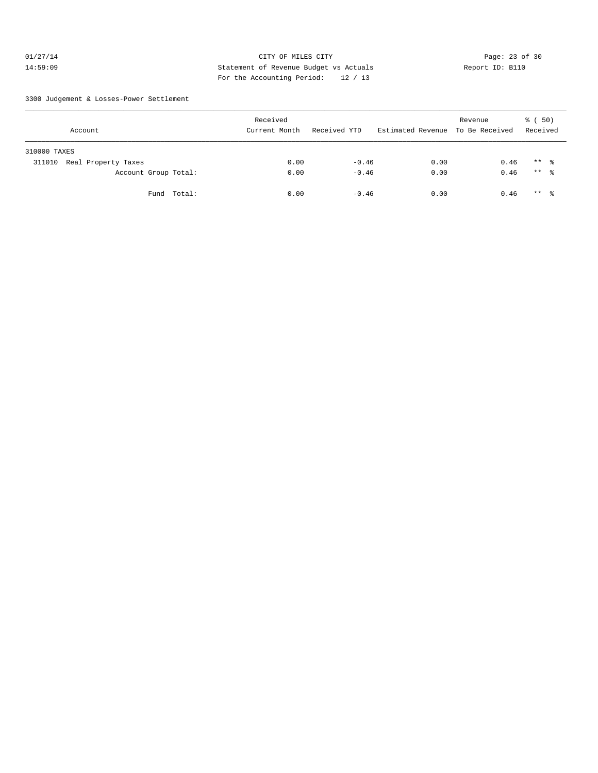# 01/27/14 Page: 23 of 30 14:59:09 Statement of Revenue Budget vs Actuals Report ID: B110 For the Accounting Period: 12 / 13

3300 Judgement & Losses-Power Settlement

| Account                       | Received<br>Current Month | Received YTD | Estimated Revenue To Be Received | Revenue | 8 ( 50)<br>Received |
|-------------------------------|---------------------------|--------------|----------------------------------|---------|---------------------|
| 310000 TAXES                  |                           |              |                                  |         |                     |
| Real Property Taxes<br>311010 | 0.00                      | $-0.46$      | 0.00                             | 0.46    | $***$ %             |
| Account Group Total:          | 0.00                      | $-0.46$      | 0.00                             | 0.46    | ** 응                |
| Fund Total:                   | 0.00                      | $-0.46$      | 0.00                             | 0.46    | $***$ %             |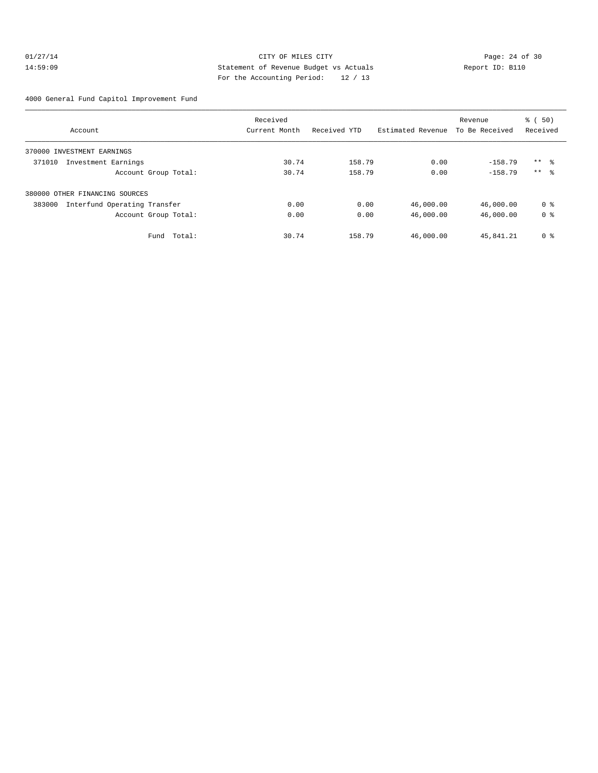# 01/27/14 Page: 24 of 30 14:59:09 Statement of Revenue Budget vs Actuals Report ID: B110 For the Accounting Period: 12 / 13

4000 General Fund Capitol Improvement Fund

|                                        | Received      |              |                   | Revenue        | $\frac{1}{6}$ (50) |
|----------------------------------------|---------------|--------------|-------------------|----------------|--------------------|
| Account                                | Current Month | Received YTD | Estimated Revenue | To Be Received | Received           |
| 370000 INVESTMENT EARNINGS             |               |              |                   |                |                    |
| 371010<br>Investment Earnings          | 30.74         | 158.79       | 0.00              | $-158.79$      | $***$ 8            |
| Account Group Total:                   | 30.74         | 158.79       | 0.00              | $-158.79$      | $***$ $\approx$    |
| 380000 OTHER FINANCING SOURCES         |               |              |                   |                |                    |
| 383000<br>Interfund Operating Transfer | 0.00          | 0.00         | 46,000.00         | 46,000.00      | 0 %                |
| Account Group Total:                   | 0.00          | 0.00         | 46,000.00         | 46,000.00      | 0 <sup>8</sup>     |
| Total:<br>Fund                         | 30.74         | 158.79       | 46,000.00         | 45,841.21      | 0 <sup>8</sup>     |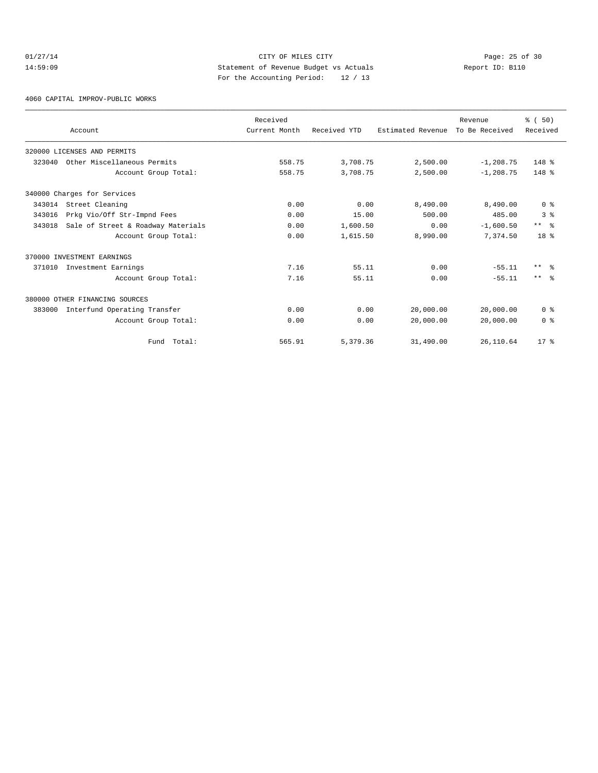# 01/27/14 Page: 25 of 30 14:59:09 Statement of Revenue Budget vs Actuals Report ID: B110 For the Accounting Period: 12 / 13

4060 CAPITAL IMPROV-PUBLIC WORKS

|        |                                    | Received      |              |                   | Revenue        | % (50)          |
|--------|------------------------------------|---------------|--------------|-------------------|----------------|-----------------|
|        | Account                            | Current Month | Received YTD | Estimated Revenue | To Be Received | Received        |
|        | 320000 LICENSES AND PERMITS        |               |              |                   |                |                 |
| 323040 | Other Miscellaneous Permits        | 558.75        | 3,708.75     | 2,500.00          | $-1, 208.75$   | $148$ %         |
|        | Account Group Total:               | 558.75        | 3,708.75     | 2,500.00          | $-1, 208.75$   | $148$ %         |
|        | 340000 Charges for Services        |               |              |                   |                |                 |
| 343014 | Street Cleaning                    | 0.00          | 0.00         | 8,490.00          | 8,490.00       | 0 <sup>8</sup>  |
| 343016 | Prkg Vio/Off Str-Impnd Fees        | 0.00          | 15.00        | 500.00            | 485.00         | 3 <sup>8</sup>  |
| 343018 | Sale of Street & Roadway Materials | 0.00          | 1,600.50     | 0.00              | $-1,600.50$    | $***$ $\approx$ |
|        | Account Group Total:               | 0.00          | 1,615.50     | 8,990.00          | 7.374.50       | 18 <sup>8</sup> |
|        | 370000 INVESTMENT EARNINGS         |               |              |                   |                |                 |
| 371010 | Investment Earnings                | 7.16          | 55.11        | 0.00              | $-55.11$       | $***$ $\approx$ |
|        | Account Group Total:               | 7.16          | 55.11        | 0.00              | $-55.11$       | $***$ $ -$      |
|        | 380000 OTHER FINANCING SOURCES     |               |              |                   |                |                 |
| 383000 | Interfund Operating Transfer       | 0.00          | 0.00         | 20,000.00         | 20,000.00      | 0 <sup>8</sup>  |
|        | Account Group Total:               | 0.00          | 0.00         | 20,000.00         | 20,000.00      | 0 <sup>8</sup>  |
|        | Fund Total:                        | 565.91        | 5,379.36     | 31,490.00         | 26,110.64      | $17*$           |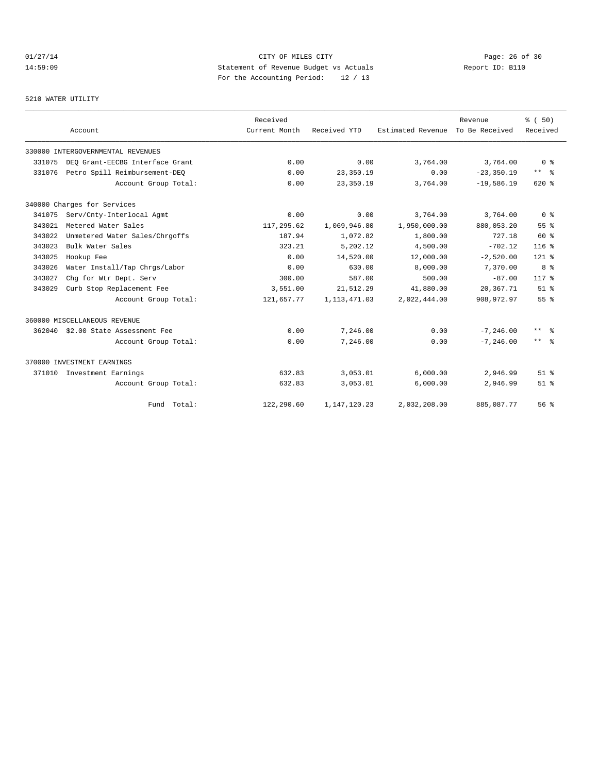# 01/27/14 Page: 26 of 30 14:59:09 Statement of Revenue Budget vs Actuals Report ID: B110<br>Report ID: B110 For the Accounting Period: 12 / 13

# 5210 WATER UTILITY

|        | Account                           | Received<br>Current Month | Received YTD    | Estimated Revenue | Revenue<br>To Be Received | % (50)<br>Received |
|--------|-----------------------------------|---------------------------|-----------------|-------------------|---------------------------|--------------------|
|        | 330000 INTERGOVERNMENTAL REVENUES |                           |                 |                   |                           |                    |
| 331075 | DEO Grant-EECBG Interface Grant   | 0.00                      | 0.00            | 3,764.00          | 3,764.00                  | 0 <sup>8</sup>     |
| 331076 | Petro Spill Reimbursement-DEQ     | 0.00                      | 23,350.19       | 0.00              | $-23, 350, 19$            | $***$ $ -$         |
|        | Account Group Total:              | 0.00                      | 23,350.19       | 3,764.00          | $-19,586.19$              | $620*$             |
|        | 340000 Charges for Services       |                           |                 |                   |                           |                    |
| 341075 | Serv/Cnty-Interlocal Agmt         | 0.00                      | 0.00            | 3,764.00          | 3,764.00                  | 0 <sup>8</sup>     |
| 343021 | Metered Water Sales               | 117,295.62                | 1,069,946.80    | 1,950,000.00      | 880,053.20                | 55 <sup>8</sup>    |
| 343022 | Unmetered Water Sales/Chrgoffs    | 187.94                    | 1,072.82        | 1,800.00          | 727.18                    | 60 %               |
| 343023 | Bulk Water Sales                  | 323.21                    | 5,202.12        | 4,500.00          | $-702.12$                 | 116 <sup>8</sup>   |
| 343025 | Hookup Fee                        | 0.00                      | 14,520.00       | 12,000.00         | $-2,520.00$               | $121$ %            |
| 343026 | Water Install/Tap Chrgs/Labor     | 0.00                      | 630.00          | 8,000.00          | 7,370.00                  | 8 %                |
| 343027 | Chq for Wtr Dept. Serv            | 300.00                    | 587.00          | 500.00            | $-87.00$                  | $117*$             |
| 343029 | Curb Stop Replacement Fee         | 3,551.00                  | 21,512.29       | 41,880.00         | 20,367.71                 | $51$ $%$           |
|        | Account Group Total:              | 121,657.77                | 1, 113, 471.03  | 2,022,444.00      | 908, 972.97               | 55%                |
|        | 360000 MISCELLANEOUS REVENUE      |                           |                 |                   |                           |                    |
| 362040 | \$2.00 State Assessment Fee       | 0.00                      | 7,246.00        | 0.00              | $-7, 246.00$              | $***$ $%$          |
|        | Account Group Total:              | 0.00                      | 7,246.00        | 0.00              | $-7, 246, 00$             | $***$ $%$          |
|        | 370000 INVESTMENT EARNINGS        |                           |                 |                   |                           |                    |
| 371010 | Investment Earnings               | 632.83                    | 3,053.01        | 6,000.00          | 2,946.99                  | $51$ $%$           |
|        | Account Group Total:              | 632.83                    | 3,053.01        | 6,000.00          | 2,946.99                  | $51$ %             |
|        | Fund Total:                       | 122,290.60                | 1, 147, 120. 23 | 2,032,208.00      | 885,087.77                | 56%                |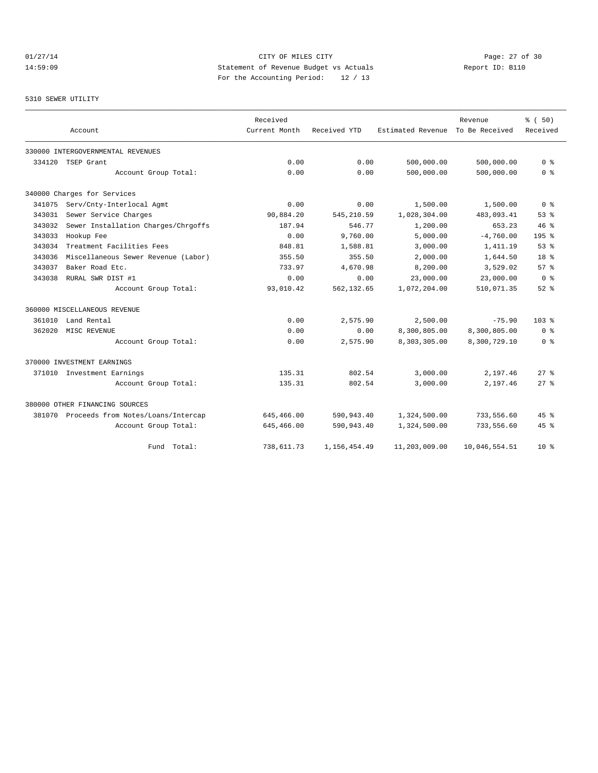# 01/27/14 Page: 27 of 30 14:59:09 Statement of Revenue Budget vs Actuals Report ID: B110 For the Accounting Period: 12 / 13

#### 5310 SEWER UTILITY

|        |                                           | Received      |              |                   | Revenue        | % (50)             |
|--------|-------------------------------------------|---------------|--------------|-------------------|----------------|--------------------|
|        | Account                                   | Current Month | Received YTD | Estimated Revenue | To Be Received | Received           |
|        | 330000 INTERGOVERNMENTAL REVENUES         |               |              |                   |                |                    |
| 334120 | TSEP Grant                                | 0.00          | 0.00         | 500,000.00        | 500,000.00     | 0 <sup>8</sup>     |
|        | Account Group Total:                      | 0.00          | 0.00         | 500,000.00        | 500,000.00     | 0 <sup>8</sup>     |
|        | 340000 Charges for Services               |               |              |                   |                |                    |
| 341075 | Serv/Cnty-Interlocal Agmt                 | 0.00          | 0.00         | 1,500.00          | 1,500.00       | 0 <sup>8</sup>     |
| 343031 | Sewer Service Charges                     | 90,884.20     | 545, 210.59  | 1,028,304.00      | 483,093.41     | 53%                |
| 343032 | Sewer Installation Charges/Chrgoffs       | 187.94        | 546.77       | 1,200.00          | 653.23         | 46%                |
| 343033 | Hookup Fee                                | 0.00          | 9,760.00     | 5,000.00          | $-4,760.00$    | 195 <sub>8</sub>   |
| 343034 | Treatment Facilities Fees                 | 848.81        | 1,588.81     | 3,000.00          | 1,411.19       | 53%                |
| 343036 | Miscellaneous Sewer Revenue (Labor)       | 355.50        | 355.50       | 2,000.00          | 1,644.50       | 18 <sup>8</sup>    |
| 343037 | Baker Road Etc.                           | 733.97        | 4,670.98     | 8,200.00          | 3,529.02       | 57%                |
| 343038 | RURAL SWR DIST #1                         | 0.00          | 0.00         | 23,000.00         | 23,000.00      | 0 <sup>8</sup>     |
|        | Account Group Total:                      | 93,010.42     | 562,132.65   | 1,072,204.00      | 510,071.35     | $52$ $%$           |
|        | 360000 MISCELLANEOUS REVENUE              |               |              |                   |                |                    |
| 361010 | Land Rental                               | 0.00          | 2,575.90     | 2,500.00          | $-75.90$       | 103 <sub>8</sub>   |
| 362020 | MISC REVENUE                              | 0.00          | 0.00         | 8,300,805.00      | 8,300,805.00   | 0 <sup>8</sup>     |
|        | Account Group Total:                      | 0.00          | 2,575.90     | 8,303,305.00      | 8,300,729.10   | 0 <sup>8</sup>     |
|        | 370000 INVESTMENT EARNINGS                |               |              |                   |                |                    |
|        | 371010 Investment Earnings                | 135.31        | 802.54       | 3,000.00          | 2,197.46       | 278                |
|        | Account Group Total:                      | 135.31        | 802.54       | 3,000.00          | 2,197.46       | $27$ $\approx$     |
|        | 380000 OTHER FINANCING SOURCES            |               |              |                   |                |                    |
|        | 381070 Proceeds from Notes/Loans/Intercap | 645,466.00    | 590,943.40   | 1,324,500.00      | 733,556.60     | 45%                |
|        | Account Group Total:                      | 645,466.00    | 590,943.40   | 1,324,500.00      | 733,556.60     | $45$ $\frac{6}{3}$ |
|        | Fund Total:                               | 738,611.73    | 1,156,454.49 | 11,203,009.00     | 10,046,554.51  | $10*$              |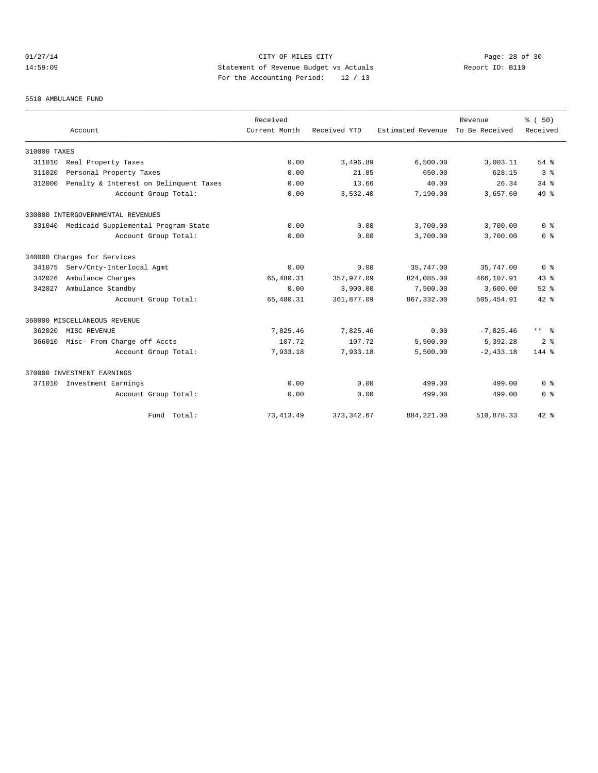# $01/27/14$  Page: 28 of 30 14:59:09 Statement of Revenue Budget vs Actuals Report ID: B110 For the Accounting Period: 12 / 13

#### 5510 AMBULANCE FUND

|              | Account                                | Received<br>Current Month | Received YTD | Estimated Revenue | Revenue<br>To Be Received | % (50)<br>Received |
|--------------|----------------------------------------|---------------------------|--------------|-------------------|---------------------------|--------------------|
| 310000 TAXES |                                        |                           |              |                   |                           |                    |
| 311010       | Real Property Taxes                    | 0.00                      | 3,496.89     | 6,500.00          | 3,003.11                  | $54$ $%$           |
| 311020       | Personal Property Taxes                | 0.00                      | 21.85        | 650.00            | 628.15                    | 3 <sup>8</sup>     |
| 312000       | Penalty & Interest on Delinquent Taxes | 0.00                      | 13.66        | 40.00             | 26.34                     | $34$ $%$           |
|              | Account Group Total:                   | 0.00                      | 3,532.40     | 7,190.00          | 3,657.60                  | 49 %               |
|              | 330000 INTERGOVERNMENTAL REVENUES      |                           |              |                   |                           |                    |
| 331040       | Medicaid Supplemental Program-State    | 0.00                      | 0.00         | 3,700.00          | 3,700.00                  | 0 <sup>8</sup>     |
|              | Account Group Total:                   | 0.00                      | 0.00         | 3,700.00          | 3,700.00                  | 0 <sup>8</sup>     |
|              | 340000 Charges for Services            |                           |              |                   |                           |                    |
| 341075       | Serv/Cnty-Interlocal Agmt              | 0.00                      | 0.00         | 35,747.00         | 35,747.00                 | 0 <sup>8</sup>     |
| 342026       | Ambulance Charges                      | 65,480.31                 | 357,977.09   | 824,085.00        | 466,107.91                | 43.8               |
| 342027       | Ambulance Standby                      | 0.00                      | 3,900.00     | 7,500.00          | 3,600.00                  | $52$ $%$           |
|              | Account Group Total:                   | 65,480.31                 | 361,877.09   | 867, 332.00       | 505,454.91                | $42*$              |
|              | 360000 MISCELLANEOUS REVENUE           |                           |              |                   |                           |                    |
| 362020       | MISC REVENUE                           | 7,825.46                  | 7,825.46     | 0.00              | $-7,825.46$               | $***$ $\approx$    |
| 366010       | Misc- From Charge off Accts            | 107.72                    | 107.72       | 5,500.00          | 5,392.28                  | 2 <sup>8</sup>     |
|              | Account Group Total:                   | 7,933.18                  | 7,933.18     | 5,500.00          | $-2, 433.18$              | $144$ %            |
|              | 370000 INVESTMENT EARNINGS             |                           |              |                   |                           |                    |
| 371010       | Investment Earnings                    | 0.00                      | 0.00         | 499.00            | 499.00                    | 0 <sup>8</sup>     |
|              | Account Group Total:                   | 0.00                      | 0.00         | 499.00            | 499.00                    | 0 <sup>8</sup>     |
|              | Fund Total:                            | 73, 413.49                | 373, 342.67  | 884, 221.00       | 510,878.33                | $42*$              |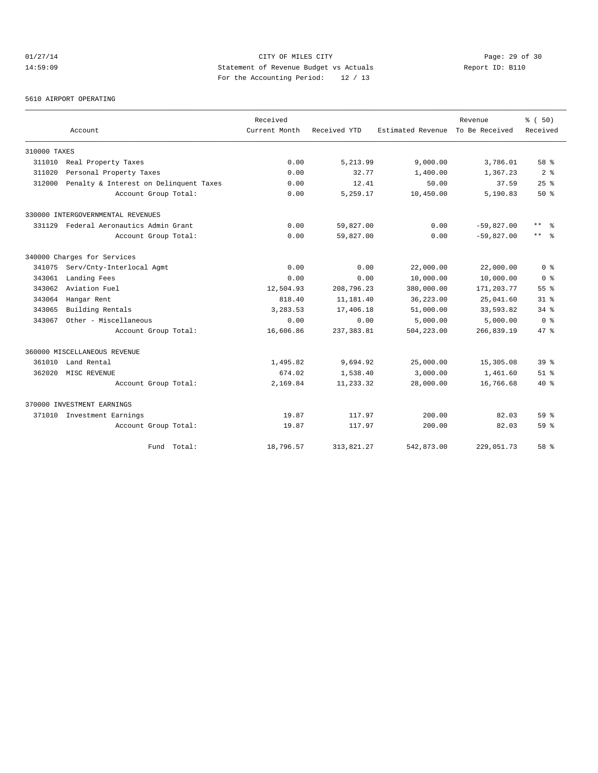# 01/27/14 Page: 29 of 30 14:59:09 Statement of Revenue Budget vs Actuals Report ID: B110 For the Accounting Period: 12 / 13

#### 5610 AIRPORT OPERATING

|              |                                        | Received      |              |                   | Revenue        | % (50)                    |
|--------------|----------------------------------------|---------------|--------------|-------------------|----------------|---------------------------|
|              | Account                                | Current Month | Received YTD | Estimated Revenue | To Be Received | Received                  |
| 310000 TAXES |                                        |               |              |                   |                |                           |
| 311010       | Real Property Taxes                    | 0.00          | 5,213.99     | 9,000.00          | 3,786.01       | 58 %                      |
| 311020       | Personal Property Taxes                | 0.00          | 32.77        | 1,400.00          | 1,367.23       | 2 <sup>8</sup>            |
| 312000       | Penalty & Interest on Delinquent Taxes | 0.00          | 12.41        | 50.00             | 37.59          | 25%                       |
|              | Account Group Total:                   | 0.00          | 5,259.17     | 10,450.00         | 5,190.83       | 50%                       |
|              | 330000 INTERGOVERNMENTAL REVENUES      |               |              |                   |                |                           |
| 331129       | Federal Aeronautics Admin Grant        | 0.00          | 59,827.00    | 0.00              | $-59,827.00$   | $\star\star$<br>$\approx$ |
|              | Account Group Total:                   | 0.00          | 59,827.00    | 0.00              | $-59,827.00$   | $\star\star$<br>- 옹       |
|              | 340000 Charges for Services            |               |              |                   |                |                           |
| 341075       | Serv/Cnty-Interlocal Agmt              | 0.00          | 0.00         | 22,000.00         | 22,000.00      | 0 <sup>8</sup>            |
| 343061       | Landing Fees                           | 0.00          | 0.00         | 10,000.00         | 10,000.00      | 0 <sup>8</sup>            |
| 343062       | Aviation Fuel                          | 12,504.93     | 208,796.23   | 380,000.00        | 171,203.77     | 55%                       |
| 343064       | Hangar Rent                            | 818.40        | 11,181.40    | 36, 223.00        | 25,041.60      | 318                       |
| 343065       | Building Rentals                       | 3,283.53      | 17,406.18    | 51,000.00         | 33,593.82      | $34$ $%$                  |
| 343067       | Other - Miscellaneous                  | 0.00          | 0.00         | 5,000.00          | 5,000.00       | 0 <sup>8</sup>            |
|              | Account Group Total:                   | 16,606.86     | 237, 383.81  | 504,223.00        | 266,839.19     | 47.8                      |
|              | 360000 MISCELLANEOUS REVENUE           |               |              |                   |                |                           |
| 361010       | Land Rental                            | 1,495.82      | 9,694.92     | 25,000.00         | 15,305.08      | 39 <sup>8</sup>           |
| 362020       | MISC REVENUE                           | 674.02        | 1,538.40     | 3,000.00          | 1,461.60       | 51 <sup>8</sup>           |
|              | Account Group Total:                   | 2,169.84      | 11,233.32    | 28,000.00         | 16,766.68      | $40*$                     |
|              | 370000 INVESTMENT EARNINGS             |               |              |                   |                |                           |
| 371010       | Investment Earnings                    | 19.87         | 117.97       | 200.00            | 82.03          | 59 %                      |
|              | Account Group Total:                   | 19.87         | 117.97       | 200.00            | 82.03          | 59 <sup>8</sup>           |
|              | Fund Total:                            | 18,796.57     | 313,821.27   | 542,873.00        | 229,051.73     | 58 %                      |